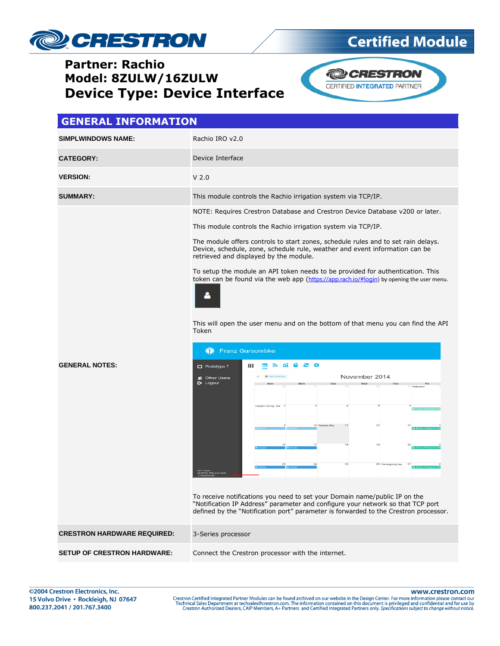

## **Certified Module**

### **Partner: Rachio Model: 8ZULW/16ZULW Device Type: Device Interface**



### **GENERAL INFORMATION SIMPLWINDOWS NAME:** Rachio IRO v2.0 **CATEGORY:** Device Interface **VERSION:** V 2.0 **SUMMARY:** This module controls the Rachio irrigation system via TCP/IP. NOTE: Requires Crestron Database and Crestron Device Database v200 or later. This module controls the Rachio irrigation system via TCP/IP. The module offers controls to start zones, schedule rules and to set rain delays. Device, schedule, zone, schedule rule, weather and event information can be retrieved and displayed by the module. To setup the module an API token needs to be provided for authentication. This token can be found via the web app ([https://app.rach.io/#login\)](https://app.rach.io/#login) by opening the user menu. This will open the user menu and on the bottom of that menu you can find the API Token **P** Franz Garsombke **GENERAL NOTES:** Prototype 7 ш **NN 30 3 3** November 2014 **st Other L**<br>E> Logout **Other Users** ing Time To receive notifications you need to set your Domain name/public IP on the "Notification IP Address" parameter and configure your network so that TCP port defined by the "Notification port" parameter is forwarded to the Crestron processor. **CRESTRON HARDWARE REQUIRED:** 3-Series processor **SETUP OF CRESTRON HARDWARE:** Connect the Crestron processor with the internet.

www.crestron.com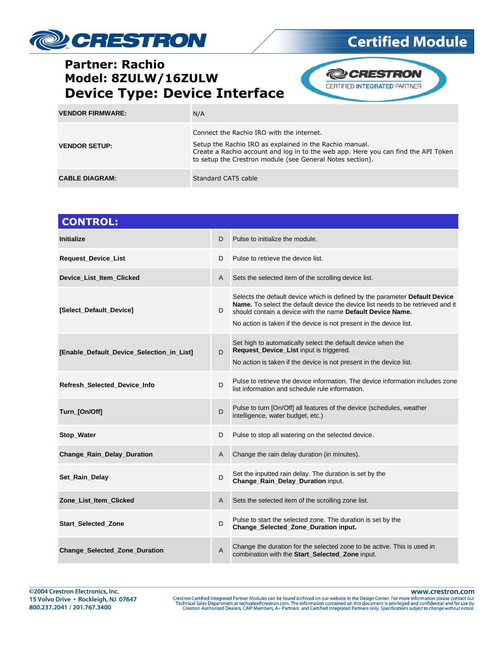

# **Certified Module**

**@CRESTRON** CERTIFIED INTEGRATED PARTNER

| <b>VENDOR FIRMWARE:</b> | N/A                                                                                                                                                                                                                                                     |
|-------------------------|---------------------------------------------------------------------------------------------------------------------------------------------------------------------------------------------------------------------------------------------------------|
| <b>VENDOR SETUP:</b>    | Connect the Rachio IRO with the internet.<br>Setup the Rachio IRO as explained in the Rachio manual.<br>Create a Rachio account and log in to the web app. Here you can find the API Token<br>to setup the Crestron module (see General Notes section). |
| <b>CABLE DIAGRAM:</b>   | Standard CAT5 cable                                                                                                                                                                                                                                     |

| <b>CONTROL:</b>                           |                |                                                                                                                                                                                                                                                                                                     |
|-------------------------------------------|----------------|-----------------------------------------------------------------------------------------------------------------------------------------------------------------------------------------------------------------------------------------------------------------------------------------------------|
| <b>Initialize</b>                         | D              | Pulse to initialize the module.                                                                                                                                                                                                                                                                     |
| Request_Device_List                       | D              | Pulse to retrieve the device list.                                                                                                                                                                                                                                                                  |
| Device_List_Item_Clicked                  | A              | Sets the selected item of the scrolling device list.                                                                                                                                                                                                                                                |
| [Select_Default_Device]                   | D              | Selects the default device which is defined by the parameter Default Device<br>Name. To select the default device the device list needs to be retrieved and it<br>should contain a device with the name Default Device Name.<br>No action is taken if the device is not present in the device list. |
| [Enable_Default_Device_Selection_in_List] | D              | Set high to automatically select the default device when the<br>Request_Device_List input is triggered.<br>No action is taken if the device is not present in the device list.                                                                                                                      |
| Refresh_Selected_Device_Info              | D              | Pulse to retrieve the device information. The device information includes zone<br>list information and schedule rule information.                                                                                                                                                                   |
| Turn_[On/Off]                             | D              | Pulse to turn [On/Off] all features of the device (schedules, weather<br>intelligence, water budget, etc.)                                                                                                                                                                                          |
| Stop_Water                                | D              | Pulse to stop all watering on the selected device.                                                                                                                                                                                                                                                  |
| <b>Change_Rain_Delay_Duration</b>         | A              | Change the rain delay duration (in minutes).                                                                                                                                                                                                                                                        |
| Set_Rain_Delay                            | D              | Set the inputted rain delay. The duration is set by the<br>Change_Rain_Delay_Duration input.                                                                                                                                                                                                        |
| Zone_List_Item_Clicked                    | A              | Sets the selected item of the scrolling zone list.                                                                                                                                                                                                                                                  |
| <b>Start_Selected_Zone</b>                | D              | Pulse to start the selected zone. The duration is set by the<br>Change Selected Zone Duration input.                                                                                                                                                                                                |
| <b>Change Selected Zone Duration</b>      | $\overline{A}$ | Change the duration for the selected zone to be active. This is used in<br>combination with the Start_Selected_Zone input.                                                                                                                                                                          |

www.crestron.com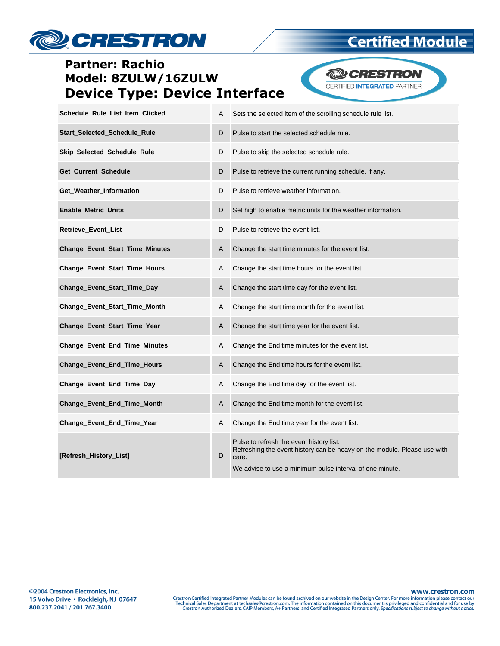# **DESTRON**

### **Partner: Rachio** Model: 8ZULW/16ZULW **Device Type: Device Interface**

**Certified Module** 

**@CRESTRON** 

CERTIFIED INTEGRATED PARTNER

| Schedule_Rule_List_Item_Clicked        | A | Sets the selected item of the scrolling schedule rule list.                                                                                                                              |
|----------------------------------------|---|------------------------------------------------------------------------------------------------------------------------------------------------------------------------------------------|
| Start_Selected_Schedule_Rule           | D | Pulse to start the selected schedule rule.                                                                                                                                               |
| Skip_Selected_Schedule_Rule            | D | Pulse to skip the selected schedule rule.                                                                                                                                                |
| Get_Current_Schedule                   | D | Pulse to retrieve the current running schedule, if any.                                                                                                                                  |
| Get_Weather_Information                | D | Pulse to retrieve weather information.                                                                                                                                                   |
| <b>Enable_Metric_Units</b>             | D | Set high to enable metric units for the weather information.                                                                                                                             |
| Retrieve_Event_List                    | D | Pulse to retrieve the event list.                                                                                                                                                        |
| <b>Change_Event_Start_Time_Minutes</b> | A | Change the start time minutes for the event list.                                                                                                                                        |
| Change_Event_Start_Time_Hours          | A | Change the start time hours for the event list.                                                                                                                                          |
| Change_Event_Start_Time_Day            | A | Change the start time day for the event list.                                                                                                                                            |
| Change_Event_Start_Time_Month          | A | Change the start time month for the event list.                                                                                                                                          |
| Change_Event_Start_Time_Year           | A | Change the start time year for the event list.                                                                                                                                           |
| Change_Event_End_Time_Minutes          | A | Change the End time minutes for the event list.                                                                                                                                          |
| <b>Change_Event_End_Time_Hours</b>     | A | Change the End time hours for the event list.                                                                                                                                            |
| Change_Event_End_Time_Day              | A | Change the End time day for the event list.                                                                                                                                              |
| Change_Event_End_Time_Month            | A | Change the End time month for the event list.                                                                                                                                            |
| Change_Event_End_Time_Year             | A | Change the End time year for the event list.                                                                                                                                             |
| [Refresh_History_List]                 | D | Pulse to refresh the event history list.<br>Refreshing the event history can be heavy on the module. Please use with<br>care.<br>We advise to use a minimum pulse interval of one minute |

www.crestron.com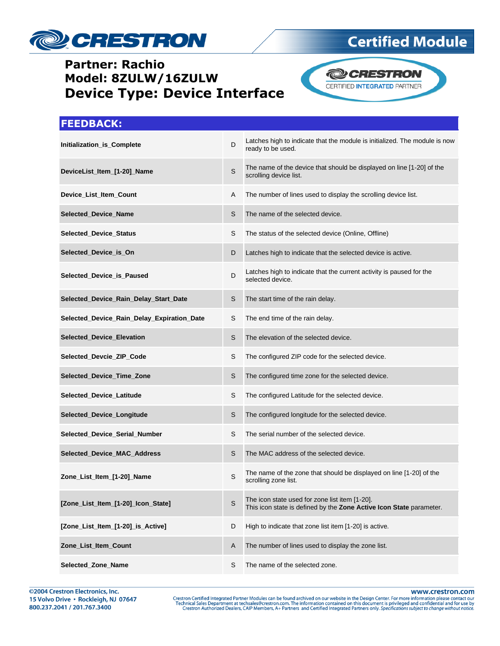

# **Certified Module**



#### **FEEDBACK:**

| Initialization_is_Complete                 | D            | Latches high to indicate that the module is initialized. The module is now<br>ready to be used.                       |
|--------------------------------------------|--------------|-----------------------------------------------------------------------------------------------------------------------|
| DeviceList_Item_[1-20]_Name                | $\mathsf{S}$ | The name of the device that should be displayed on line [1-20] of the<br>scrolling device list.                       |
| Device_List_Item_Count                     | Α            | The number of lines used to display the scrolling device list.                                                        |
| Selected_Device_Name                       | S            | The name of the selected device.                                                                                      |
| Selected_Device_Status                     | S            | The status of the selected device (Online, Offline)                                                                   |
| Selected Device is On                      | D            | Latches high to indicate that the selected device is active.                                                          |
| Selected_Device_is_Paused                  | D            | Latches high to indicate that the current activity is paused for the<br>selected device.                              |
| Selected_Device_Rain_Delay_Start_Date      | S            | The start time of the rain delay.                                                                                     |
| Selected_Device_Rain_Delay_Expiration_Date | S            | The end time of the rain delay.                                                                                       |
| Selected_Device_Elevation                  | S            | The elevation of the selected device.                                                                                 |
| Selected_Devcie_ZIP_Code                   | S            | The configured ZIP code for the selected device.                                                                      |
| Selected_Device_Time_Zone                  | S            | The configured time zone for the selected device.                                                                     |
| Selected_Device_Latitude                   | S            | The configured Latitude for the selected device.                                                                      |
| Selected_Device_Longitude                  | S            | The configured longitude for the selected device.                                                                     |
| Selected_Device_Serial_Number              | S            | The serial number of the selected device.                                                                             |
| Selected_Device_MAC_Address                | S            | The MAC address of the selected device.                                                                               |
| Zone_List_Item_[1-20]_Name                 | S            | The name of the zone that should be displayed on line [1-20] of the<br>scrolling zone list.                           |
| [Zone_List_Item_[1-20]_Icon_State]         | S            | The icon state used for zone list item [1-20].<br>This icon state is defined by the Zone Active Icon State parameter. |
| [Zone_List_Item_[1-20]_is_Active]          | D            | High to indicate that zone list item [1-20] is active.                                                                |
| Zone_List_Item_Count                       | A            | The number of lines used to display the zone list.                                                                    |
| Selected_Zone_Name                         | S            | The name of the selected zone.                                                                                        |

www.crestron.com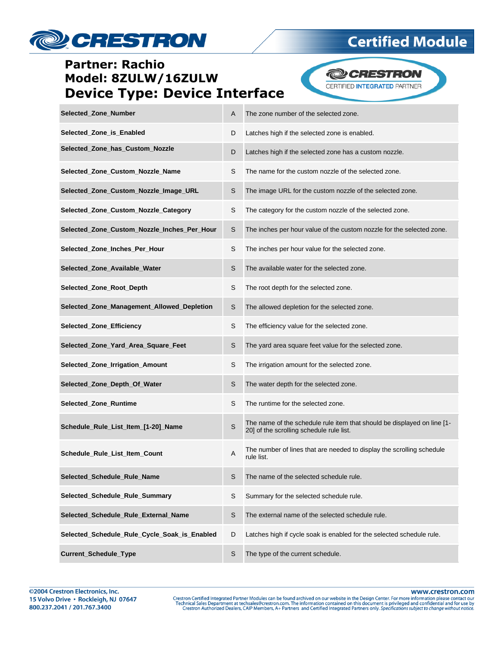

**Certified Module** 

**@CRESTRON** CERTIFIED INTEGRATED PARTNER

| Selected Zone Number                         | A | The zone number of the selected zone.                                                                               |
|----------------------------------------------|---|---------------------------------------------------------------------------------------------------------------------|
| Selected_Zone_is_Enabled                     | D | Latches high if the selected zone is enabled.                                                                       |
| Selected_Zone_has_Custom_Nozzle              | D | Latches high if the selected zone has a custom nozzle.                                                              |
| Selected_Zone_Custom_Nozzle_Name             | S | The name for the custom nozzle of the selected zone.                                                                |
| Selected_Zone_Custom_Nozzle_Image_URL        | S | The image URL for the custom nozzle of the selected zone.                                                           |
| Selected_Zone_Custom_Nozzle_Category         | S | The category for the custom nozzle of the selected zone.                                                            |
| Selected_Zone_Custom_Nozzle_Inches_Per_Hour  | S | The inches per hour value of the custom nozzle for the selected zone.                                               |
| Selected_Zone_Inches_Per_Hour                | S | The inches per hour value for the selected zone.                                                                    |
| Selected_Zone_Available_Water                | S | The available water for the selected zone.                                                                          |
| Selected_Zone_Root_Depth                     | S | The root depth for the selected zone.                                                                               |
| Selected Zone Management Allowed Depletion   | S | The allowed depletion for the selected zone.                                                                        |
| Selected_Zone_Efficiency                     | S | The efficiency value for the selected zone.                                                                         |
| Selected_Zone_Yard_Area_Square_Feet          | S | The yard area square feet value for the selected zone.                                                              |
| Selected_Zone_Irrigation_Amount              | S | The irrigation amount for the selected zone.                                                                        |
| Selected_Zone_Depth_Of_Water                 | S | The water depth for the selected zone.                                                                              |
| Selected_Zone_Runtime                        | S | The runtime for the selected zone.                                                                                  |
| Schedule_Rule_List_Item_[1-20]_Name          | S | The name of the schedule rule item that should be displayed on line [1-<br>20] of the scrolling schedule rule list. |
| Schedule_Rule_List_Item_Count                | Α | The number of lines that are needed to display the scrolling schedule<br>rule list.                                 |
| Selected_Schedule_Rule_Name                  | S | The name of the selected schedule rule.                                                                             |
| Selected_Schedule_Rule_Summary               | S | Summary for the selected schedule rule.                                                                             |
| Selected_Schedule_Rule_External_Name         | S | The external name of the selected schedule rule.                                                                    |
| Selected_Schedule_Rule_Cycle_Soak_is_Enabled | D | Latches high if cycle soak is enabled for the selected schedule rule.                                               |
| Current_Schedule_Type                        | S | The type of the current schedule.                                                                                   |

www.crestron.com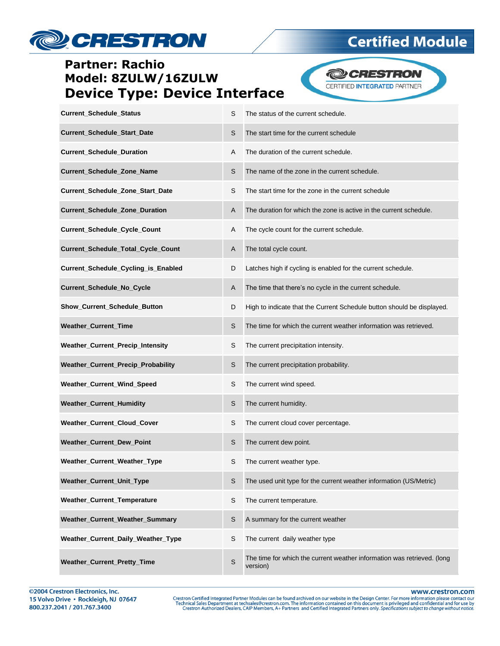

**Certified Module** 

**@CRESTRON** CERTIFIED INTEGRATED PARTNER

| Current_Schedule_Status             | S | The status of the current schedule.                                    |
|-------------------------------------|---|------------------------------------------------------------------------|
| Current_Schedule_Start_Date         | S | The start time for the current schedule                                |
| <b>Current_Schedule_Duration</b>    | Α | The duration of the current schedule.                                  |
| Current_Schedule_Zone_Name          | S | The name of the zone in the current schedule.                          |
| Current_Schedule_Zone_Start_Date    | S | The start time for the zone in the current schedule                    |
| Current_Schedule_Zone_Duration      | A | The duration for which the zone is active in the current schedule.     |
| Current_Schedule_Cycle_Count        | Α | The cycle count for the current schedule.                              |
| Current_Schedule_Total_Cycle_Count  | A | The total cycle count.                                                 |
| Current_Schedule_Cycling_is_Enabled | D | Latches high if cycling is enabled for the current schedule.           |
| <b>Current Schedule No Cycle</b>    | A | The time that there's no cycle in the current schedule.                |
| Show_Current_Schedule_Button        | D | High to indicate that the Current Schedule button should be displayed. |
| Weather_Current_Time                | S | The time for which the current weather information was retrieved.      |
| Weather_Current_Precip_Intensity    | S | The current precipitation intensity.                                   |
| Weather_Current_Precip_Probability  | S | The current precipitation probability.                                 |
| Weather_Current_Wind_Speed          | S | The current wind speed.                                                |
| <b>Weather_Current_Humidity</b>     | S | The current humidity.                                                  |
| Weather_Current_Cloud_Cover         | S | The current cloud cover percentage.                                    |
| Weather_Current_Dew_Point           | S | The current dew point.                                                 |
| Weather_Current_Weather_Type        | S | The current weather type.                                              |
| Weather_Current_Unit_Type           | S | The used unit type for the current weather information (US/Metric)     |
| <b>Weather Current Temperature</b>  | S | The current temperature.                                               |
| Weather_Current_Weather_Summary     | S | A summary for the current weather                                      |
| Weather_Current_Daily_Weather_Type  | S | The current daily weather type                                         |
|                                     |   |                                                                        |

**Weather\_Current\_Pretty\_Time** S The time for which the current weather information was retrieved. (long version)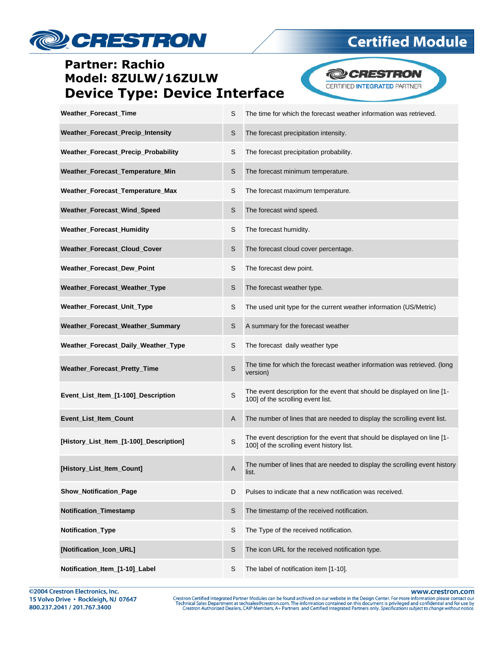# **DESTRON**

### **Partner: Rachio** Model: 8ZULW/16ZULW **Device Type: Device Interface**

**Certified Module** 

**@CRESTRON** 

CERTIFIED INTEGRATED PARTNER

| Weather_Forecast_Time                    | S | The time for which the forecast weather information was retrieved.                                                    |
|------------------------------------------|---|-----------------------------------------------------------------------------------------------------------------------|
| <b>Weather Forecast Precip Intensity</b> | S | The forecast precipitation intensity.                                                                                 |
| Weather_Forecast_Precip_Probability      | S | The forecast precipitation probability.                                                                               |
| Weather_Forecast_Temperature_Min         | S | The forecast minimum temperature.                                                                                     |
| Weather_Forecast_Temperature_Max         | S | The forecast maximum temperature.                                                                                     |
| Weather_Forecast_Wind_Speed              | S | The forecast wind speed.                                                                                              |
| Weather_Forecast_Humidity                | S | The forecast humidity.                                                                                                |
| Weather_Forecast_Cloud_Cover             | S | The forecast cloud cover percentage.                                                                                  |
| Weather_Forecast_Dew_Point               | S | The forecast dew point.                                                                                               |
| Weather_Forecast_Weather_Type            | S | The forecast weather type.                                                                                            |
| Weather_Forecast_Unit_Type               | S | The used unit type for the current weather information (US/Metric)                                                    |
| Weather_Forecast_Weather_Summary         | S | A summary for the forecast weather                                                                                    |
| Weather_Forecast_Daily_Weather_Type      | S | The forecast daily weather type                                                                                       |
| Weather_Forecast_Pretty_Time             | S | The time for which the forecast weather information was retrieved. (long<br>version)                                  |
| Event_List_Item_[1-100]_Description      | S | The event description for the event that should be displayed on line [1-<br>100] of the scrolling event list.         |
| Event_List_Item_Count                    | A | The number of lines that are needed to display the scrolling event list.                                              |
| [History_List_Item_[1-100]_Description]  | S | The event description for the event that should be displayed on line [1-<br>100] of the scrolling event history list. |
| History_List_Item_Count]                 | A | The number of lines that are needed to display the scrolling event history<br>list.                                   |
| <b>Show_Notification_Page</b>            | D | Pulses to indicate that a new notification was received.                                                              |
| Notification_Timestamp                   | S | The timestamp of the received notification.                                                                           |
| Notification_Type                        | S | The Type of the received notification.                                                                                |
| Notification_Icon_URL]                   | S | The icon URL for the received notification type.                                                                      |
| Notification_Item_[1-10]_Label           | S | The label of notification item [1-10].                                                                                |

©2004 Crestron Electronics, Inc. 15 Volvo Drive · Rockleigh, NJ 07647 800.237.2041 / 201.767.3400

www.crestron.com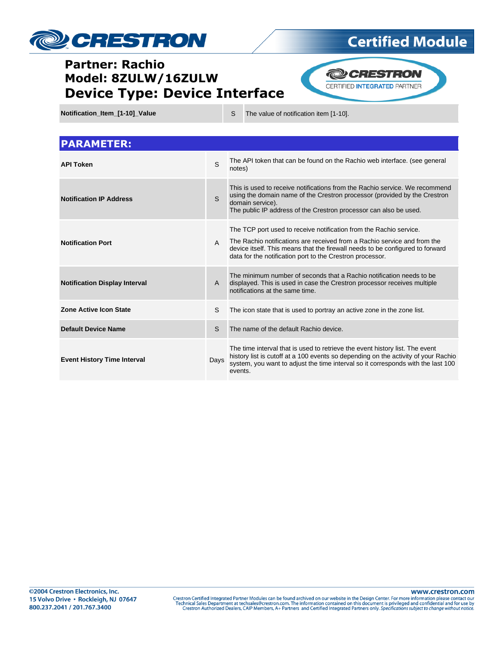

# **Certified Module**

**@CRESTRON** CERTIFIED INTEGRATED PARTNER

**Notification\_Item\_[1-10]\_Value** S The value of notification item [1-10].

| <b>PARAMETER:</b>                    |              |                                                                                                                                                                                                                                                                                              |
|--------------------------------------|--------------|----------------------------------------------------------------------------------------------------------------------------------------------------------------------------------------------------------------------------------------------------------------------------------------------|
| <b>API Token</b>                     | S            | The API token that can be found on the Rachio web interface. (see general<br>notes)                                                                                                                                                                                                          |
| <b>Notification IP Address</b>       | S.           | This is used to receive notifications from the Rachio service. We recommend<br>using the domain name of the Crestron processor (provided by the Crestron<br>domain service).<br>The public IP address of the Crestron processor can also be used.                                            |
| <b>Notification Port</b>             | $\mathsf{A}$ | The TCP port used to receive notification from the Rachio service.<br>The Rachio notifications are received from a Rachio service and from the<br>device itself. This means that the firewall needs to be configured to forward<br>data for the notification port to the Crestron processor. |
| <b>Notification Display Interval</b> | A            | The minimum number of seconds that a Rachio notification needs to be<br>displayed. This is used in case the Crestron processor receives multiple<br>notifications at the same time.                                                                                                          |
| <b>Zone Active Icon State</b>        | S            | The icon state that is used to portray an active zone in the zone list.                                                                                                                                                                                                                      |
| <b>Default Device Name</b>           | S            | The name of the default Rachio device.                                                                                                                                                                                                                                                       |
| <b>Event History Time Interval</b>   | Days         | The time interval that is used to retrieve the event history list. The event<br>history list is cutoff at a 100 events so depending on the activity of your Rachio<br>system, you want to adjust the time interval so it corresponds with the last 100<br>events.                            |